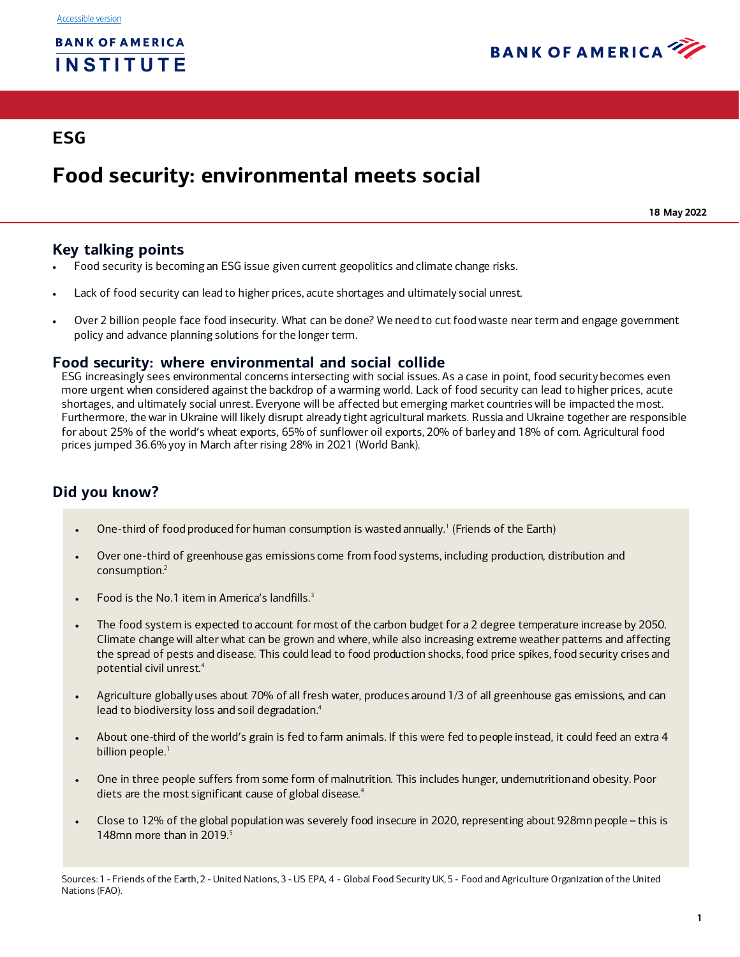

# **ESG**

# **Food security: environmental meets social**

**18 May 2022**

# **Key talking points**

- Food security is becoming an ESG issue given current geopolitics and climate change risks.
- Lack of food security can lead to higher prices, acute shortages and ultimately social unrest.
- Over 2 billion people face food insecurity. What can be done? We need to cut food waste near term and engage government policy and advance planning solutions for the longer term.

## **Food security: where environmental and social collide**

ESG increasingly sees environmental concerns intersecting with social issues. As a case in point, food security becomes even more urgent when considered against the backdrop of a warming world. Lack of food security can lead to higher prices, acute shortages, and ultimately social unrest. Everyone will be affected but emerging market countries will be impacted the most. Furthermore, the war in Ukraine will likely disrupt already tight agricultural markets. Russia and Ukraine together are responsible for about 25% of the world's wheat exports, 65% of sunflower oil exports, 20% of barley and 18% of corn. Agricultural food prices jumped 36.6% yoy in March after rising 28% in 2021 (World Bank).

# **Did you know?**

- One-third of food produced for human consumption is wasted annually.<sup>1</sup> (Friends of the Earth)
- Over one-third of greenhouse gas emissions come from food systems, including production, distribution and consumptio[n.2](#page-0-1)
- Food is the No.1 item in America's landfill[s.3](#page-0-2)
- The food system is expected to account for most of the carbon budget for a 2 degree temperature increase by 2050. Climate change will alter what can be grown and where, while also increasing extreme weather patterns and affecting the spread of pests and disease. This could lead to food production shocks, food price spikes, food security crises and potential civil unre[st.4](#page-0-3)
- Agriculture globally uses about 70% of all fresh water, produces around 1/3 of all greenhouse gas emissions, and can lead to biodiversity loss and soil degradation.<sup>4</sup>
- About one-third of the world's grain is fed to farm animals. If this were fed to people instead, it could feed an extra 4 billion peopl[e.](#page-0-0) 1
- One in three people suffers from some form of malnutrition. This includes hunger, undernutritionand obesity. Poor diets are the most significant cause of global disease.<sup>4</sup>
- <span id="page-0-4"></span><span id="page-0-3"></span><span id="page-0-2"></span>• Close to 12% of the global population was severely food insecure in 2020, representing about 928mn people – this is 148mn more than in  $2019$ .<sup>5</sup>

<span id="page-0-1"></span><span id="page-0-0"></span>Sources: 1 - Friends of the Earth, 2 - United Nations, 3 - US EPA, 4 - Global Food Security UK, 5 - Food and Agriculture Organization of the United Nations (FAO).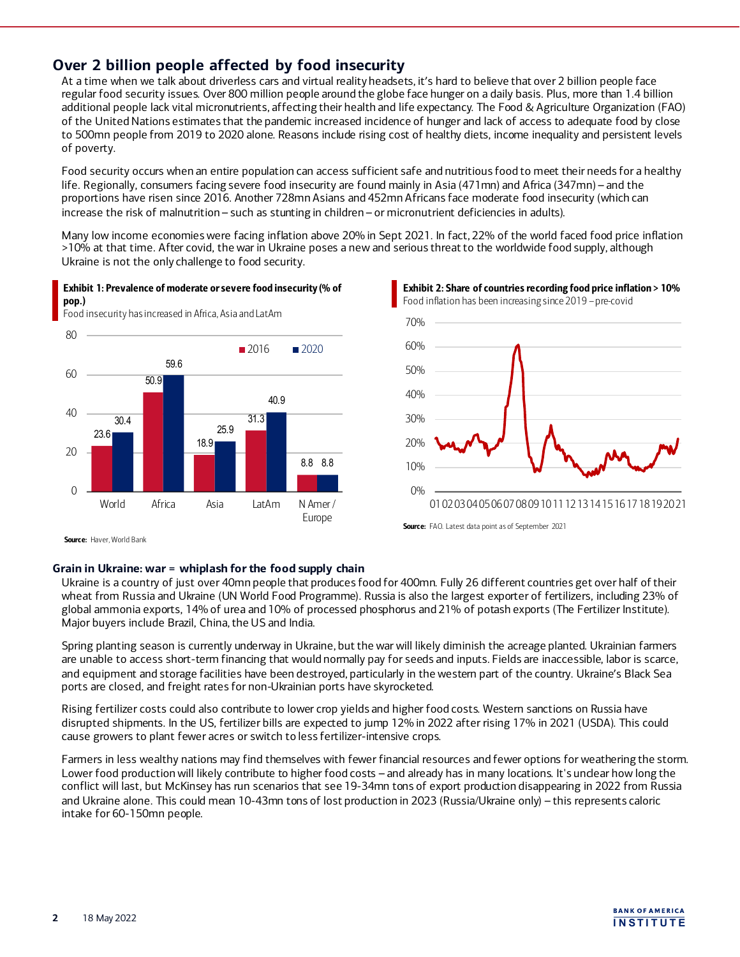## **Over 2 billion people affected by food insecurity**

At a time when we talk about driverless cars and virtual reality headsets, it's hard to believe that over 2 billion people face regular food security issues. Over 800 million people around the globe face hunger on a daily basis. Plus, more than 1.4 billion additional people lack vital micronutrients, affecting their health and life expectancy. The Food & Agriculture Organization (FAO) of the United Nations estimates that the pandemic increased incidence of hunger and lack of access to adequate food by close to 500mn people from 2019 to 2020 alone. Reasons include rising cost of healthy diets, income inequality and persistent levels of poverty.

Food security occurs when an entire population can access sufficient safe and nutritious food to meet their needs for a healthy life. Regionally, consumers facing severe food insecurity are found mainly in Asia (471mn) and Africa (347mn) – and the proportions have risen since 2016. Another 728mn Asians and 452mn Africans face moderate food insecurity (which can increase the risk of malnutrition – such as stunting in children – or micronutrient deficiencies in adults).

Many low income economies were facing inflation above 20% in Sept 2021. In fact, 22% of the world faced food price inflation >10% at that time. After covid, the war in Ukraine poses a new and serious threat to the worldwide food supply, although Ukraine is not the only challenge to food security.

## Exhibit 1: Prevalence of moderate or severe food insecurity (% of pop.)

Food insecurity has increased in Africa, Asia and LatAm



Exhibit 2: Share of countries recording food price inflation > 10% Food inflation has been increasing since 2019 – pre-covid



Source: FAO. Latest data point as of September 2021

Source: Haver, World Bank

## **Grain in Ukraine: war = whiplash for the food supply chain**

Ukraine is a country of just over 40mn people that produces food for 400mn. Fully 26 different countries get over half of their wheat from Russia and Ukraine (UN World Food Programme). Russia is also the largest exporter of fertilizers, including 23% of global ammonia exports, 14% of urea and 10% of processed phosphorus and 21% of potash exports (The Fertilizer Institute). Major buyers include Brazil, China, the US and India.

Spring planting season is currently underway in Ukraine, but the war will likely diminish the acreage planted. Ukrainian farmers are unable to access short-term financing that would normally pay for seeds and inputs. Fields are inaccessible, labor is scarce, and equipment and storage facilities have been destroyed, particularly in the western part of the country. Ukraine's Black Sea ports are closed, and freight rates for non-Ukrainian ports have skyrocketed.

Rising fertilizer costs could also contribute to lower crop yields and higher food costs. Western sanctions on Russia have disrupted shipments. In the US, fertilizer bills are expected to jump 12% in 2022 after rising 17% in 2021 (USDA). This could cause growers to plant fewer acres or switch to less fertilizer-intensive crops.

Farmers in less wealthy nations may find themselves with fewer financial resources and fewer options for weathering the storm. Lower food production will likely contribute to higher food costs – and already has in many locations. It's unclear how long the conflict will last, but McKinsey has run scenarios that see 19-34mn tons of export production disappearing in 2022 from Russia and Ukraine alone. This could mean 10-43mn tons of lost production in 2023 (Russia/Ukraine only) – this represents caloric intake for 60-150mn people.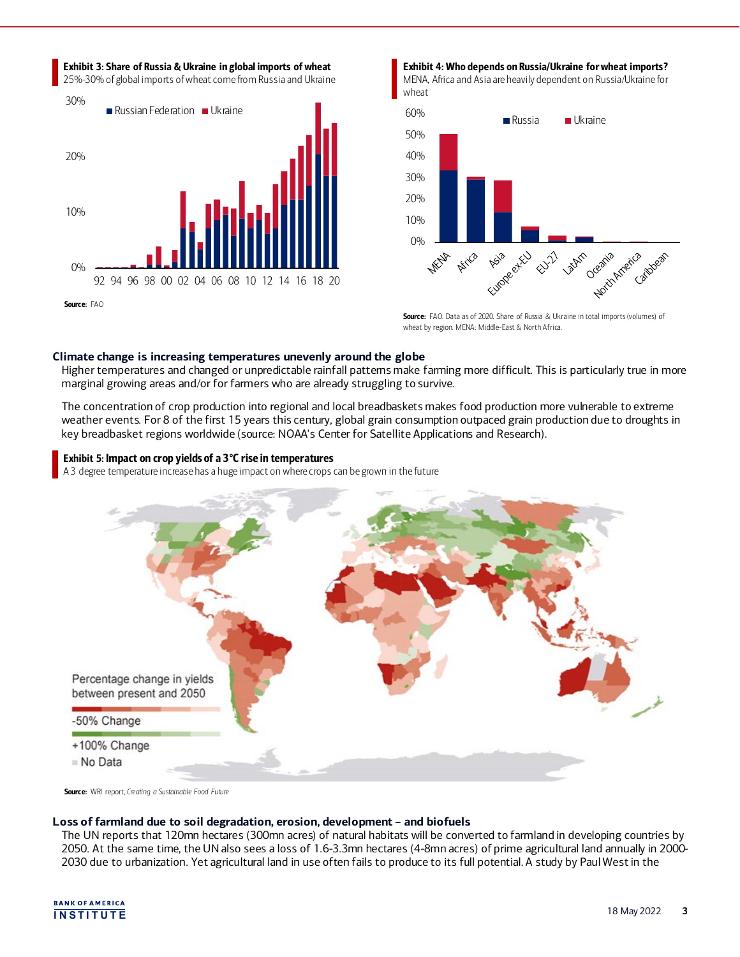

#### Exhibit 4: Who depends on Russia/Ukraine for wheat imports? MENA, Africa and Asia are heavily dependent on Russia/Ukraine for wheat



Source: FAO. Data as of 2020. Share of Russia & Ukraine in total imports (volumes) of wheat by region. MENA: Middle-East & North Africa.

## **Climate change is increasing temperatures unevenly around the globe**

Higher temperatures and changed or unpredictable rainfall patterns make farming more difficult. This is particularly true in more marginal growing areas and/or for farmers who are already struggling to survive.

The concentration of crop production into regional and local breadbaskets makes food production more vulnerable to extreme weather events. For 8 of the first 15 years this century, global grain consumption outpaced grain production due to droughts in key breadbasket regions worldwide (source: NOAA's Center for Satellite Applications and Research).

## Exhibit 5: Impact on crop yields of a 3°C rise in temperatures

A 3 degree temperature increase has a huge impact on where crops can be grown in the future



Source: WRI report, *Creating a Sustainable Food Future*

## **Loss of farmland due to soil degradation, erosion, development – and biofuels**

The UN reports that 120mn hectares (300mn acres) of natural habitats will be converted to farmland in developing countries by 2050. At the same time, the UN also sees a loss of 1.6-3.3mn hectares (4-8mn acres) of prime agricultural land annually in 2000- 2030 due to urbanization. Yet agricultural land in use often fails to produce to its full potential. A study by Paul West in the

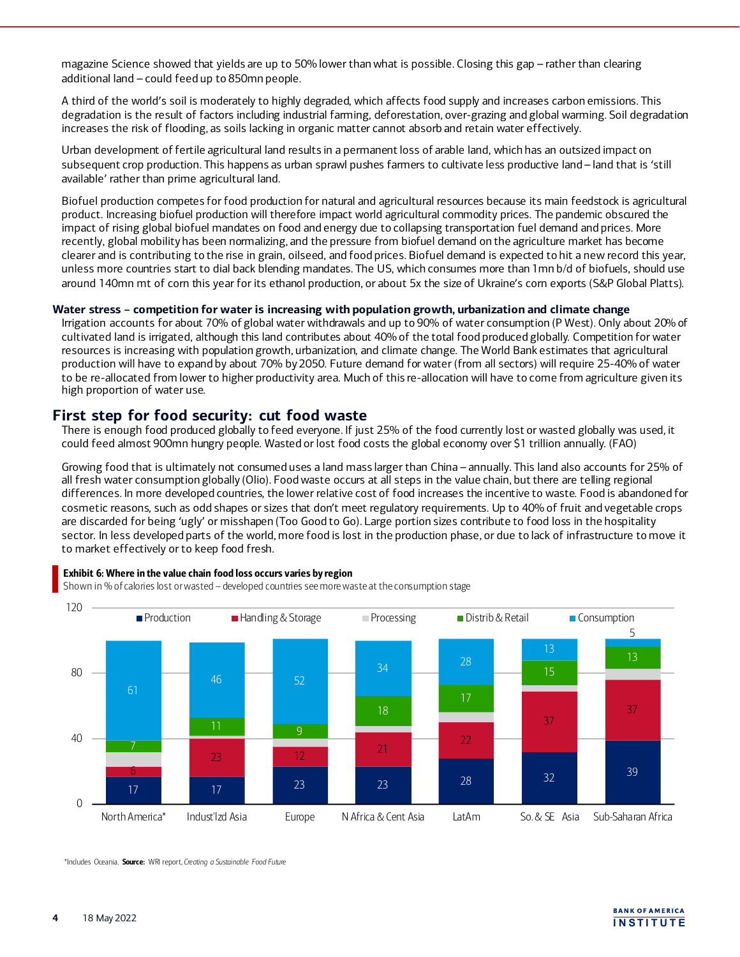magazine Science showed that yields are up to 50% lower than what is possible. Closing this gap – rather than clearing additional land – could feed up to 850mn people.

A third of the world's soil is moderately to highly degraded, which affects food supply and increases carbon emissions. This degradation is the result of factors including industrial farming, deforestation, over-grazing and global warming. Soil degradation increases the risk of flooding, as soils lacking in organic matter cannot absorb and retain water effectively.

Urban development of fertile agricultural land results in a permanent loss of arable land, which has an outsized impact on subsequent crop production. This happens as urban sprawl pushes farmers to cultivate less productive land – land that is 'still available' rather than prime agricultural land.

Biofuel production competes for food production for natural and agricultural resources because its main feedstock is agricultural product. Increasing biofuel production will therefore impact world agricultural commodity prices. The pandemic obscured the impact of rising global biofuel mandates on food and energy due to collapsing transportation fuel demand and prices. More recently, global mobility has been normalizing, and the pressure from biofuel demand on the agriculture market has become clearer and is contributing to the rise in grain, oilseed, and food prices. Biofuel demand is expected to hit a new record this year, unless more countries start to dial back blending mandates. The US, which consumes more than 1mn b/d of biofuels, should use around 140mn mt of corn this year for its ethanol production, or about 5x the size of Ukraine's corn exports (S&P Global Platts).

## **Water stress – competition for water is increasing with population growth, urbanization and climate change**

Irrigation accounts for about 70% of global water withdrawals and up to 90% of water consumption (P West). Only about 20% of cultivated land is irrigated, although this land contributes about 40% of the total food produced globally. Competition for water resources is increasing with population growth, urbanization, and climate change. The World Bank estimates that agricultural production will have to expand by about 70% by 2050. Future demand for water (from all sectors) will require 25-40% of water to be re-allocated from lower to higher productivity area. Much of this re-allocation will have to come from agriculture given its high proportion of water use.

## **First step for food security: cut food waste**

There is enough food produced globally to feed everyone. If just 25% of the food currently lost or wasted globally was used, it could feed almost 900mn hungry people. Wasted or lost food costs the global economy over \$1 trillion annually. (FAO)

Growing food that is ultimately not consumed uses a land mass larger than China – annually. This land also accounts for 25% of all fresh water consumption globally (Olio). Food waste occurs at all steps in the value chain, but there are telling regional differences. In more developed countries, the lower relative cost of food increases the incentive to waste. Food is abandoned for cosmetic reasons, such as odd shapes or sizes that don't meet regulatory requirements. Up to 40% of fruit and vegetable crops are discarded for being 'ugly' or misshapen (Too Good to Go). Large portion sizes contribute to food loss in the hospitality sector. In less developed parts of the world, more food is lost in the production phase, or due to lack of infrastructure to move it to market effectively or to keep food fresh.



## Exhibit 6: Where in the value chain food loss occurs varies by region

Shown in % of calories lost or wasted – developed countries see more waste at the consumption stage

\*Includes Oceania. Source: WRI report, *Creating a Sustainable Food Future*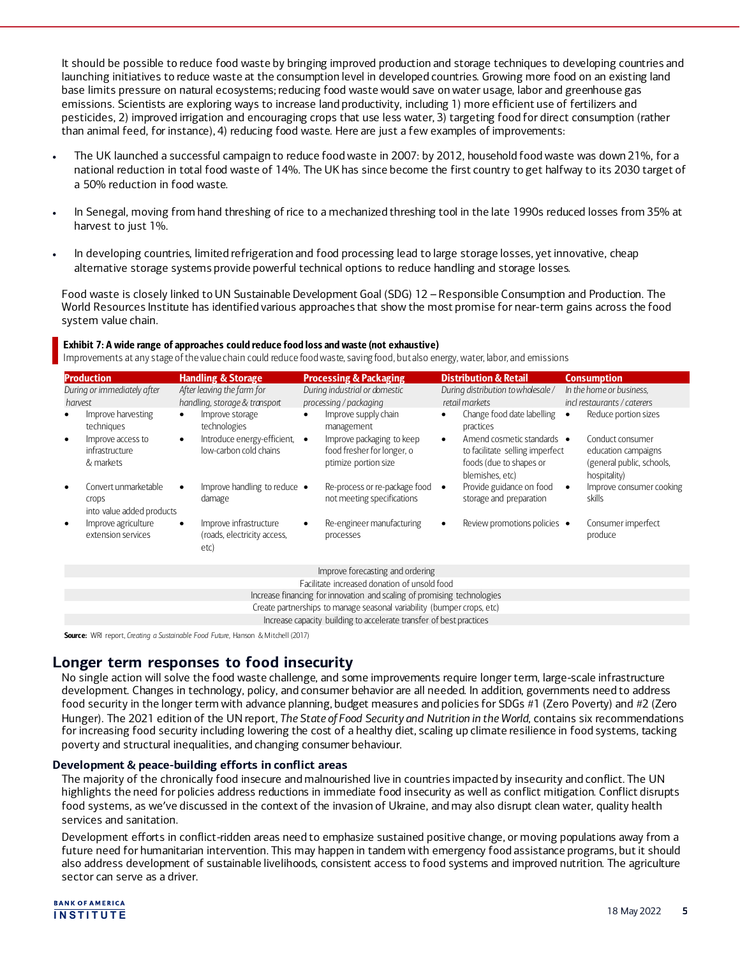It should be possible to reduce food waste by bringing improved production and storage techniques to developing countries and launching initiatives to reduce waste at the consumption level in developed countries. Growing more food on an existing land base limits pressure on natural ecosystems; reducing food waste would save on water usage, labor and greenhouse gas emissions. Scientists are exploring ways to increase land productivity, including 1) more efficient use of fertilizers and pesticides, 2) improved irrigation and encouraging crops that use less water, 3) targeting food for direct consumption (rather than animal feed, for instance), 4) reducing food waste. Here are just a few examples of improvements:

- The UK launched a successful campaign to reduce food waste in 2007: by 2012, household food waste was down 21%, for a national reduction in total food waste of 14%. The UK has since become the first country to get halfway to its 2030 target of a 50% reduction in food waste.
- In Senegal, moving from hand threshing of rice to a mechanized threshing tool in the late 1990s reduced losses from 35% at harvest to just 1%.
- In developing countries, limited refrigeration and food processing lead to large storage losses, yet innovative, cheap alternative storage systems provide powerful technical options to reduce handling and storage losses.

Food waste is closely linked to UN Sustainable Development Goal (SDG) 12 – Responsible Consumption and Production. The World Resources Institute has identified various approaches that show the most promise for near-term gains across the food system value chain.

## Exhibit 7: A wide range of approaches could reduce food loss and waste (not exhaustive)

Improvements at any stage of the value chain could reduce food waste, saving food, but also energy, water, labor, and emissions

| <b>Production</b>                                                                                                                      |                                                                                                                                                                 | <b>Processing &amp; Packaging</b>                                                                                                                                   | <b>Distribution &amp; Retail</b>                                                                                                                                                                                  | <b>Consumption</b>                                                                                                                                                 |
|----------------------------------------------------------------------------------------------------------------------------------------|-----------------------------------------------------------------------------------------------------------------------------------------------------------------|---------------------------------------------------------------------------------------------------------------------------------------------------------------------|-------------------------------------------------------------------------------------------------------------------------------------------------------------------------------------------------------------------|--------------------------------------------------------------------------------------------------------------------------------------------------------------------|
| During or immediately after<br>harvest                                                                                                 | <b>Handling &amp; Storage</b><br>After leaving the farm for<br>handling, storage & transport                                                                    | During industrial or domestic<br>processing / packaging                                                                                                             | During distribution to wholesale /<br>retail markets                                                                                                                                                              | In the home or business,<br>incl restaurants / caterers                                                                                                            |
| Improve harvesting<br>techniques<br>Improve access to<br>$\bullet$<br>infrastructure<br>& markets<br>Convert unmarketable<br>$\bullet$ | Improve storage<br>$\bullet$<br>technologies<br>Introduce energy-efficient,<br>$\bullet$<br>low-carbon cold chains<br>Improve handling to reduce .<br>$\bullet$ | Improve supply chain<br>management<br>Improve packaging to keep<br>$\bullet$<br>food fresher for longer, o<br>ptimize portion size<br>Re-process or re-package food | Change food date labelling<br>٠<br>practices<br>Amend cosmetic standards •<br>$\bullet$<br>to facilitate selling imperfect<br>foods (due to shapes or<br>blemishes, etc)<br>Provide guidance on food<br>$\bullet$ | Reduce portion sizes<br>$\bullet$<br>Conduct consumer<br>education campaigns<br>(general public, schools,<br>hospitality)<br>Improve consumer cooking<br>$\bullet$ |
| crops<br>into value added products                                                                                                     | damage                                                                                                                                                          | not meeting specifications                                                                                                                                          | storage and preparation                                                                                                                                                                                           | skills                                                                                                                                                             |
| Improve agriculture<br>$\bullet$<br>extension services                                                                                 | Improve infrastructure<br>(roads, electricity access,<br>etc)                                                                                                   | Re-engineer manufacturing<br>processes                                                                                                                              | Review promotions policies •                                                                                                                                                                                      | Consumer imperfect<br>produce                                                                                                                                      |
|                                                                                                                                        |                                                                                                                                                                 | Improve forecasting and ordering                                                                                                                                    |                                                                                                                                                                                                                   |                                                                                                                                                                    |
| Facilitate increased donation of unsold food                                                                                           |                                                                                                                                                                 |                                                                                                                                                                     |                                                                                                                                                                                                                   |                                                                                                                                                                    |
| Increase financing for innovation and scaling of promising technologies                                                                |                                                                                                                                                                 |                                                                                                                                                                     |                                                                                                                                                                                                                   |                                                                                                                                                                    |
| Create partnerships to manage seasonal variability (bumper crops, etc)                                                                 |                                                                                                                                                                 |                                                                                                                                                                     |                                                                                                                                                                                                                   |                                                                                                                                                                    |
| Increase capacity building to accelerate transfer of best practices                                                                    |                                                                                                                                                                 |                                                                                                                                                                     |                                                                                                                                                                                                                   |                                                                                                                                                                    |

Source: WRI report, *Creating a Sustainable Food Future,* Hanson & Mitchell (2017)

## **Longer term responses to food insecurity**

No single action will solve the food waste challenge, and some improvements require longer term, large-scale infrastructure development. Changes in technology, policy, and consumer behavior are all needed. In addition, governments need to address food security in the longer term with advance planning, budget measures and policies for SDGs #1 (Zero Poverty) and #2 (Zero Hunger). The 2021 edition of the UN report, *The State of Food Security and Nutrition in the World*, contains six recommendations for increasing food security including lowering the cost of a healthy diet, scaling up climate resilience in food systems, tacking poverty and structural inequalities, and changing consumer behaviour.

## **Development & peace-building efforts in conflict areas**

The majority of the chronically food insecure and malnourished live in countries impacted by insecurity and conflict. The UN highlights the need for policies address reductions in immediate food insecurity as well as conflict mitigation. Conflict disrupts food systems, as we've discussed in the context of the invasion of Ukraine, and may also disrupt clean water, quality health services and sanitation.

Development efforts in conflict-ridden areas need to emphasize sustained positive change, or moving populations away from a future need for humanitarian intervention. This may happen in tandem with emergency food assistance programs, but it should also address development of sustainable livelihoods, consistent access to food systems and improved nutrition. The agriculture sector can serve as a driver.

**BANK OF AMERICA** 18 May 2022 **<sup>5</sup> <sup>I</sup> NSTI TUTE**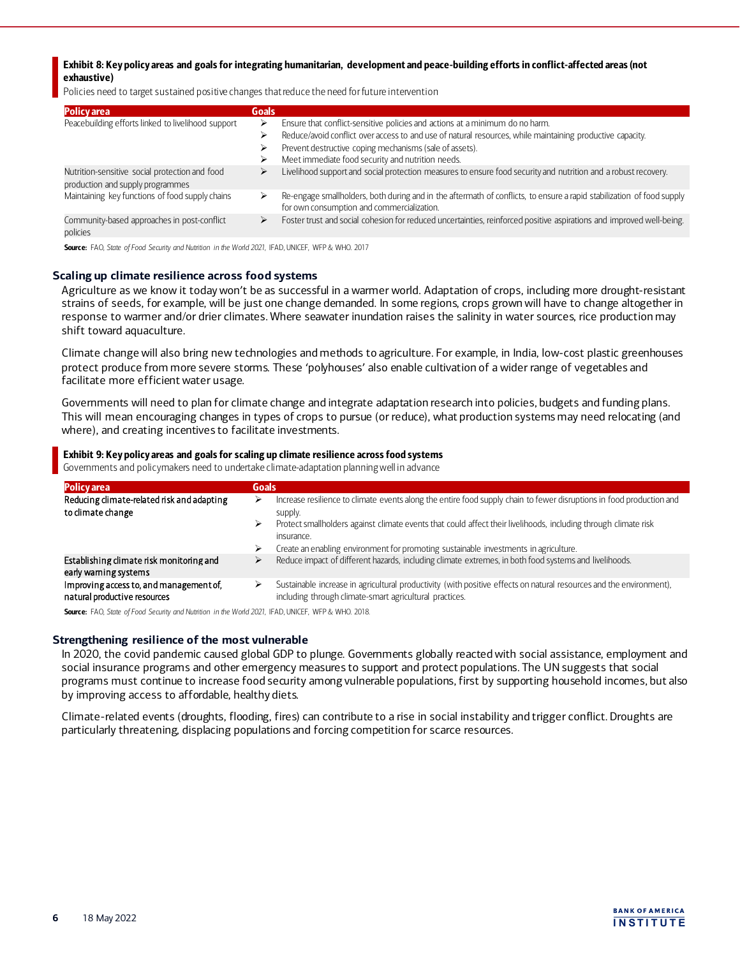Exhibit 8: Key policy areas and goals for integrating humanitarian, development and peace-building efforts in conflict-affected areas (not exhaustive)

Policies need to target sustained positive changes that reduce the need for future intervention

| Goals  |                                                                                                                                                                     |
|--------|---------------------------------------------------------------------------------------------------------------------------------------------------------------------|
| ⋗      | Ensure that conflict-sensitive policies and actions at a minimum do no harm.                                                                                        |
| ⋗      | Reduce/avoid conflict over access to and use of natural resources, while maintaining productive capacity.                                                           |
| ⋗<br>⋗ | Prevent destructive coping mechanisms (sale of assets).<br>Meet immediate food security and nutrition needs.                                                        |
| ⋗      | Livelihood support and social protection measures to ensure food security and nutrition and a robust recovery.                                                      |
|        | Re-engage smallholders, both during and in the aftermath of conflicts, to ensure a rapid stabilization of food supply<br>for own consumption and commercialization. |
| ⋗      | Foster trust and social cohesion for reduced uncertainties, reinforced positive aspirations and improved well-being.                                                |
|        |                                                                                                                                                                     |

Source: FAO, *State of Food Security and Nutrition in the World 2021*, IFAD, UNICEF, WFP & WHO. 2017

## **Scaling up climate resilience across food systems**

Agriculture as we know it today won't be as successful in a warmer world. Adaptation of crops, including more drought-resistant strains of seeds, for example, will be just one change demanded. In some regions, crops grown will have to change altogether in response to warmer and/or drier climates. Where seawater inundation raises the salinity in water sources, rice production may shift toward aquaculture.

Climate change will also bring new technologies and methods to agriculture. For example, in India, low-cost plastic greenhouses protect produce from more severe storms. These 'polyhouses' also enable cultivation of a wider range of vegetables and facilitate more efficient water usage.

Governments will need to plan for climate change and integrate adaptation research into policies, budgets and funding plans. This will mean encouraging changes in types of crops to pursue (or reduce), what production systems may need relocating (and where), and creating incentives to facilitate investments.

## Exhibit 9: Key policy areas and goals for scaling up climate resilience across food systems

Governments and policymakers need to undertake climate-adaptation planning well in advance

| <b>Policy</b> area                                                      | <b>Goals</b>                                                                                                                                                                                                                                                               |  |
|-------------------------------------------------------------------------|----------------------------------------------------------------------------------------------------------------------------------------------------------------------------------------------------------------------------------------------------------------------------|--|
| Reducing climate-related risk and adapting<br>to dimate change          | Increase resilience to climate events along the entire food supply chain to fewer disruptions in food production and<br>⊵<br>supply.<br>Protect smallholders against climate events that could affect their livelihoods, including through climate risk<br>↘<br>insurance. |  |
|                                                                         | Create an enabling environment for promoting sustainable investments in agriculture.<br>⋗                                                                                                                                                                                  |  |
| Establishing climate risk monitoring and<br>early warning systems       | Reduce impact of different hazards, including climate extremes, in both food systems and livelihoods.                                                                                                                                                                      |  |
| Improving access to, and management of,<br>natural productive resources | Sustainable increase in agricultural productivity (with positive effects on natural resources and the environment).<br>↘<br>including through climate-smart agricultural practices.                                                                                        |  |

Source: FAO, *State of Food Security and Nutrition in the World 2021*, IFAD, UNICEF, WFP & WHO. 2018.

## **Strengthening resilience of the most vulnerable**

In 2020, the covid pandemic caused global GDP to plunge. Governments globally reacted with social assistance, employment and social insurance programs and other emergency measures to support and protect populations. The UN suggests that social programs must continue to increase food security among vulnerable populations, first by supporting household incomes, but also by improving access to affordable, healthy diets.

Climate-related events (droughts, flooding, fires) can contribute to a rise in social instability and trigger conflict. Droughts are particularly threatening, displacing populations and forcing competition for scarce resources.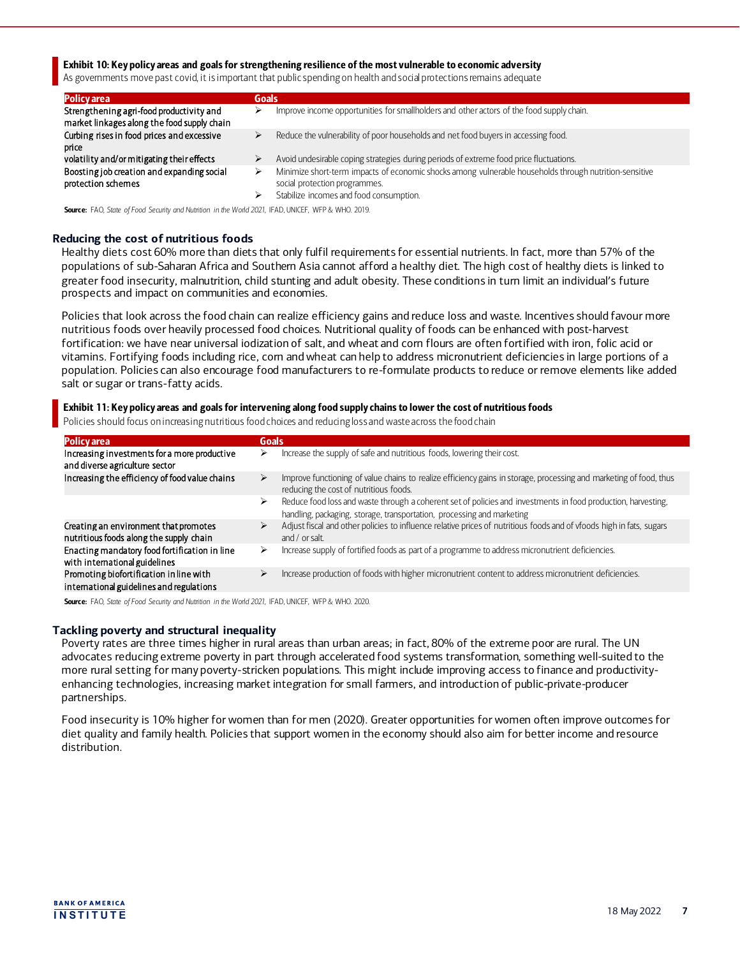Exhibit 10: Key policy areas and goals for strengthening resilience of the most vulnerable to economic adversity

As governments move past covid, it is important that public spending on health and social protections remains adequate

| <b>Policy area</b>                                                                      | Goals  |                                                                                                                                                                              |
|-----------------------------------------------------------------------------------------|--------|------------------------------------------------------------------------------------------------------------------------------------------------------------------------------|
| Strengthening agri-food productivity and<br>market linkages along the food supply chain |        | Improve income opportunities for smallholders and other actors of the food supply chain.                                                                                     |
| Curbing rises in food prices and excessive<br>price                                     | ⋗<br>⋗ | Reduce the vulnerability of poor households and net food buyers in accessing food.<br>Avoid undesirable coping strategies during periods of extreme food price fluctuations. |
| volatility and/or mitigating their effects                                              |        |                                                                                                                                                                              |
| Boosting job creation and expanding social<br>protection schemes                        | ⋗      | Minimize short-term impacts of economic shocks among vulnerable households through nutrition-sensitive<br>social protection programmes.                                      |
|                                                                                         |        | Stabilize incomes and food consumption.                                                                                                                                      |

Source: FAO, *State of Food Security and Nutrition in the World 2021*, IFAD, UNICEF, WFP & WHO. 2019.

#### **Reducing the cost of nutritious foods**

Healthy diets cost 60% more than diets that only fulfil requirements for essential nutrients. In fact, more than 57% of the populations of sub-Saharan Africa and Southern Asia cannot afford a healthy diet. The high cost of healthy diets is linked to greater food insecurity, malnutrition, child stunting and adult obesity. These conditions in turn limit an individual's future prospects and impact on communities and economies.

Policies that look across the food chain can realize efficiency gains and reduce loss and waste. Incentives should favour more nutritious foods over heavily processed food choices. Nutritional quality of foods can be enhanced with post-harvest fortification: we have near universal iodization of salt, and wheat and corn flours are often fortified with iron, folic acid or vitamins. Fortifying foods including rice, corn and wheat can help to address micronutrient deficiencies in large portions of a population. Policies can also encourage food manufacturers to re-formulate products to reduce or remove elements like added salt or sugar or trans-fatty acids.

## Exhibit 11: Key policy areas and goals for intervening along food supply chains to lower the cost of nutritious foods

Policies should focus on increasing nutritious food choices and reducing loss and waste across the food chain

| <b>Policy</b> area<br>Goals                                                                                                                                                                                                     |  |
|---------------------------------------------------------------------------------------------------------------------------------------------------------------------------------------------------------------------------------|--|
| Increasing investments for a more productive<br>Increase the supply of safe and nutritious foods, lowering their cost.<br>⋗<br>and diverse agriculture sector                                                                   |  |
| Increasing the efficiency of food value chains<br>Improve functioning of value chains to realize efficiency gains in storage, processing and marketing of food, thus<br>⋗<br>reducing the cost of nutritious foods.             |  |
| Reduce food loss and waste through a coherent set of policies and investments in food production, harvesting,<br>⋗<br>handling, packaging, storage, transportation, processing and marketing                                    |  |
| Adjust fiscal and other policies to influence relative prices of nutritious foods and of vfoods high in fats, sugars<br>Creating an environment that promotes<br>⋗<br>nutritious foods along the supply chain<br>and / or salt. |  |
| Enacting mandatory food fortification in line<br>Increase supply of fortified foods as part of a programme to address micronutrient deficiencies.<br>⋗<br>with international guidelines                                         |  |
| Promoting biofortification in line with<br>Increase production of foods with higher micronutrient content to address micronutrient deficiencies.<br>⋗<br>international guidelines and regulations                               |  |

Source: FAO, *State of Food Security and Nutrition in the World 2021*, IFAD, UNICEF, WFP & WHO. 2020.

## **Tackling poverty and structural inequality**

Poverty rates are three times higher in rural areas than urban areas; in fact, 80% of the extreme poor are rural. The UN advocates reducing extreme poverty in part through accelerated food systems transformation, something well-suited to the more rural setting for many poverty-stricken populations. This might include improving access to finance and productivityenhancing technologies, increasing market integration for small farmers, and introduction of public-private-producer partnerships.

Food insecurity is 10% higher for women than for men (2020). Greater opportunities for women often improve outcomes for diet quality and family health. Policies that support women in the economy should also aim for better income and resource distribution.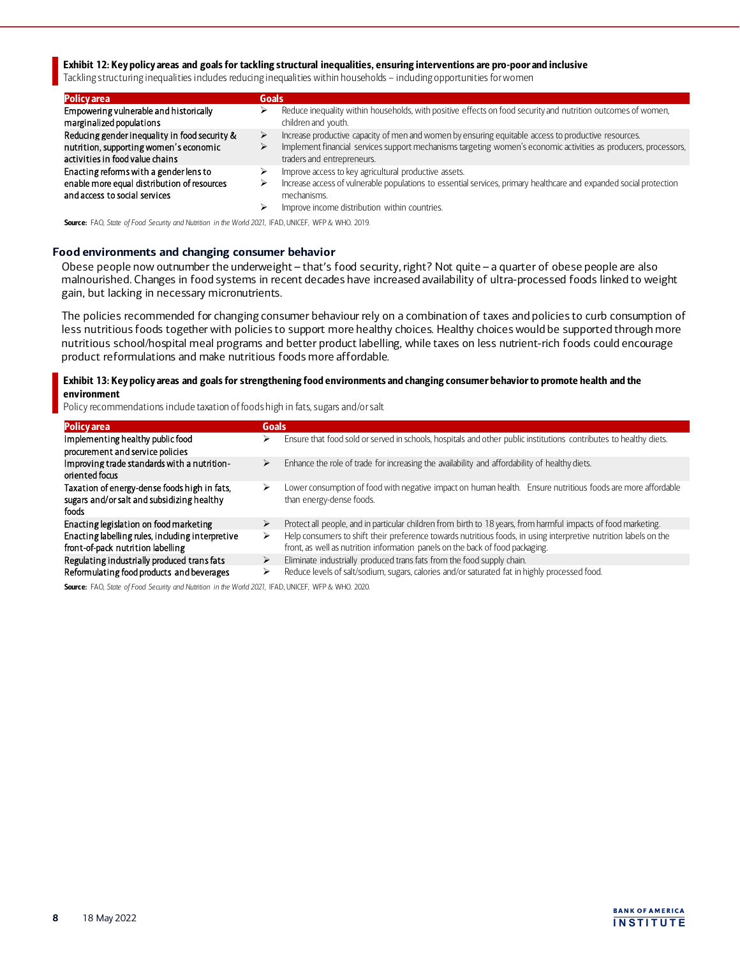## Exhibit 12: Key policy areas and goals for tackling structural inequalities, ensuring interventions are pro-poor and inclusive

Tackling structuring inequalities includes reducing inequalities within households – including opportunities for women

| <b>Policy</b> area                                                                                                         | <b>Goals</b> |                                                                                                                                                                                                                                                      |
|----------------------------------------------------------------------------------------------------------------------------|--------------|------------------------------------------------------------------------------------------------------------------------------------------------------------------------------------------------------------------------------------------------------|
| Empowering vulnerable and historically<br>marginalized populations                                                         | ⋗            | Reduce inequality within households, with positive effects on food security and nutrition outcomes of women,<br>children and youth.                                                                                                                  |
| Reducing gender inequality in food security &<br>nutrition, supporting women's economic<br>activities in food value chains | ⋗            | Increase productive capacity of men and women by ensuring equitable access to productive resources.<br>Implement financial services support mechanisms targeting women's economic activities as producers, processors,<br>traders and entrepreneurs. |
| Enacting reforms with a gender lens to<br>enable more equal distribution of resources<br>and access to social services     | ⋗<br>⋗       | Improve access to key agricultural productive assets.<br>Increase access of vulnerable populations to essential services, primary healthcare and expanded social protection<br>mechanisms.<br>Improve income distribution within countries.          |

Source: FAO, *State of Food Security and Nutrition in the World 2021*, IFAD, UNICEF, WFP & WHO. 2019.

## **Food environments and changing consumer behavior**

Obese people now outnumber the underweight – that's food security, right? Not quite – a quarter of obese people are also malnourished. Changes in food systems in recent decades have increased availability of ultra-processed foods linked to weight gain, but lacking in necessary micronutrients.

The policies recommended for changing consumer behaviour rely on a combination of taxes and policies to curb consumption of less nutritious foods together with policies to support more healthy choices. Healthy choices would be supported through more nutritious school/hospital meal programs and better product labelling, while taxes on less nutrient-rich foods could encourage product reformulations and make nutritious foods more affordable.

## Exhibit 13: Key policy areas and goals for strengthening food environments and changing consumer behavior to promote health and the environment

Policy recommendations include taxation of foods high in fats, sugars and/or salt

| <b>Policy area</b>                                                                                  | <b>Goals</b> |                                                                                                                                                                                                   |
|-----------------------------------------------------------------------------------------------------|--------------|---------------------------------------------------------------------------------------------------------------------------------------------------------------------------------------------------|
| Implementing healthy public food<br>procurement and service policies                                | ⋗            | Ensure that food sold or served in schools, hospitals and other public institutions contributes to healthy diets.                                                                                 |
| Improving trade standards with a nutrition-<br>oriented focus                                       | ⋗            | Enhance the role of trade for increasing the availability and affordability of healthy diets.                                                                                                     |
| Taxation of energy-dense foods high in fats,<br>sugars and/or salt and subsidizing healthy<br>foods | ⋗            | Lower consumption of food with negative impact on human health. Ensure nutritious foods are more affordable<br>than energy-dense foods.                                                           |
| Enacting legislation on food marketing                                                              | ⋗            | Protect all people, and in particular children from birth to 18 years, from harmful impacts of food marketing.                                                                                    |
| Enacting labelling rules, including interpretive<br>front-of-pack nutrition labelling               | ⋗            | Help consumers to shift their preference towards nutritious foods, in using interpretive nutrition labels on the<br>front, as well as nutrition information panels on the back of food packaging. |
| Regulating industrially produced trans fats                                                         | ➤            | Eliminate industrially produced trans fats from the food supply chain.                                                                                                                            |
| Reformulating food products and beverages                                                           | ⋗            | Reduce levels of salt/sodium, sugars, calories and/or saturated fat in highly processed food.                                                                                                     |

Source: FAO, *State of Food Security and Nutrition in the World 2021*, IFAD, UNICEF, WFP & WHO. 2020.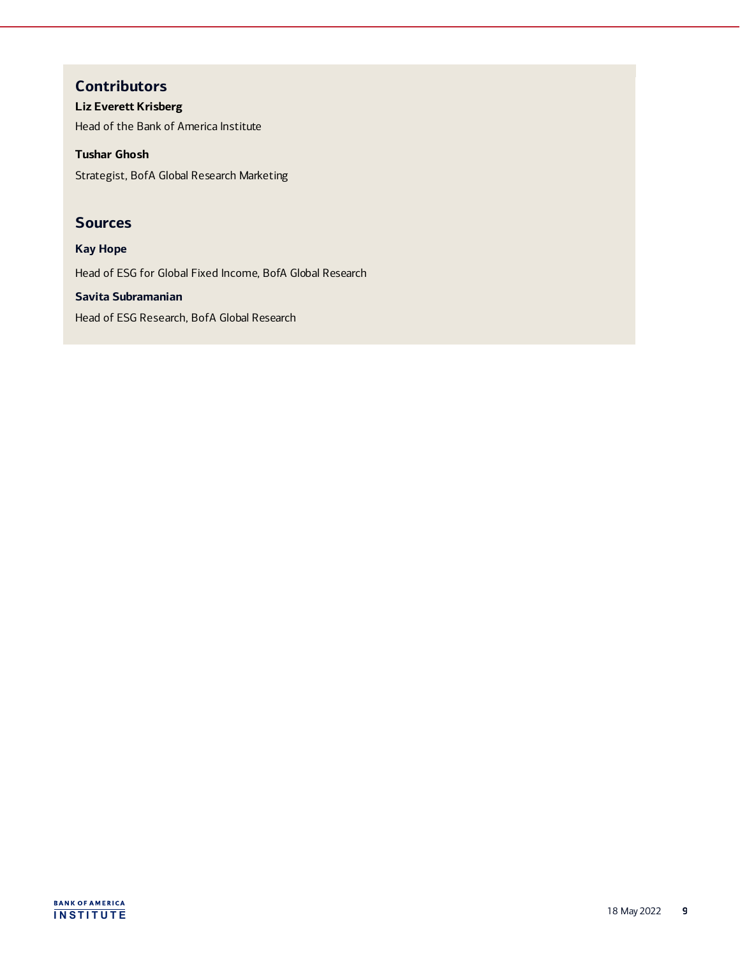# **Contributors**

**Liz Everett Krisberg** Head of the Bank of America Institute

**Tushar Ghosh**

Strategist, BofA Global Research Marketing

# **Sources**

**Kay Hope** Head of ESG for Global Fixed Income, BofA Global Research

**Savita Subramanian** Head of ESG Research, BofA Global Research